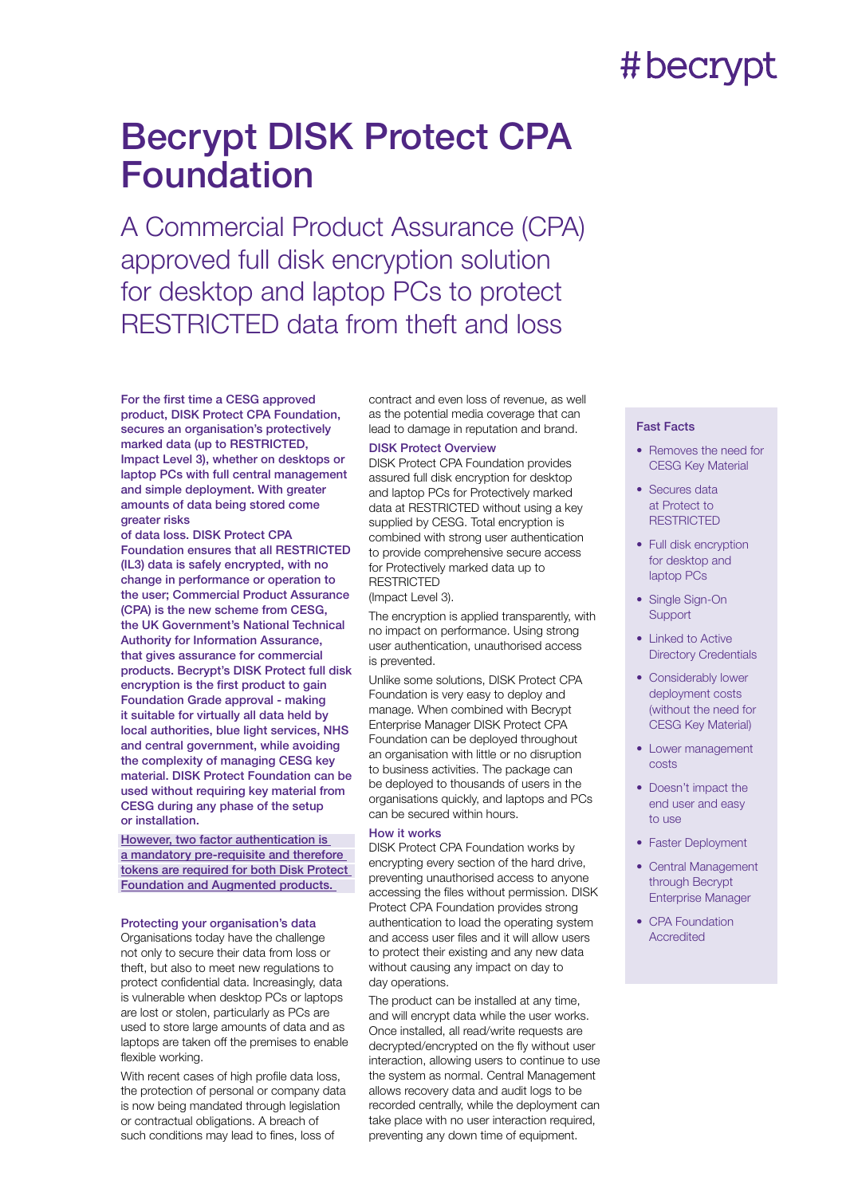## #becrypt

### Becrypt DISK Protect CPA Foundation

A Commercial Product Assurance (CPA) approved full disk encryption solution for desktop and laptop PCs to protect RESTRICTED data from theft and loss

For the first time a CESG approved product, DISK Protect CPA Foundation, secures an organisation's protectively marked data (up to RESTRICTED, Impact Level 3), whether on desktops or laptop PCs with full central management and simple deployment. With greater amounts of data being stored come greater risks

of data loss. DISK Protect CPA Foundation ensures that all RESTRICTED (IL3) data is safely encrypted, with no change in performance or operation to the user; Commercial Product Assurance (CPA) is the new scheme from CESG, the UK Government's National Technical Authority for Information Assurance, that gives assurance for commercial products. Becrypt's DISK Protect full disk encryption is the first product to gain Foundation Grade approval - making it suitable for virtually all data held by local authorities, blue light services, NHS and central government, while avoiding the complexity of managing CESG key material. DISK Protect Foundation can be used without requiring key material from CESG during any phase of the setup or installation.

However, two factor authentication is a mandatory pre-requisite and therefore tokens are required for both Disk Protect Foundation and Augmented products.

### Protecting your organisation's data

Organisations today have the challenge not only to secure their data from loss or theft, but also to meet new regulations to protect confidential data. Increasingly, data is vulnerable when desktop PCs or laptops are lost or stolen, particularly as PCs are used to store large amounts of data and as laptops are taken off the premises to enable flexible working.

With recent cases of high profile data loss, the protection of personal or company data is now being mandated through legislation or contractual obligations. A breach of such conditions may lead to fines, loss of

contract and even loss of revenue, as well as the potential media coverage that can lead to damage in reputation and brand.

### **DISK Protect Overview**

DISK Protect CPA Foundation provides assured full disk encryption for desktop and laptop PCs for Protectively marked data at RESTRICTED without using a key supplied by CESG. Total encryption is combined with strong user authentication to provide comprehensive secure access for Protectively marked data up to **RESTRICTED** 

(Impact Level 3).

The encryption is applied transparently, with no impact on performance. Using strong user authentication, unauthorised access is prevented.

Unlike some solutions, DISK Protect CPA Foundation is very easy to deploy and manage. When combined with Becrypt Enterprise Manager DISK Protect CPA Foundation can be deployed throughout an organisation with little or no disruption to business activities. The package can be deployed to thousands of users in the organisations quickly, and laptops and PCs can be secured within hours.

### How it works

DISK Protect CPA Foundation works by encrypting every section of the hard drive, preventing unauthorised access to anyone accessing the files without permission. DISK Protect CPA Foundation provides strong authentication to load the operating system and access user files and it will allow users to protect their existing and any new data without causing any impact on day to day operations.

The product can be installed at any time, and will encrypt data while the user works. Once installed, all read/write requests are decrypted/encrypted on the fly without user interaction, allowing users to continue to use the system as normal. Central Management allows recovery data and audit logs to be recorded centrally, while the deployment can take place with no user interaction required, preventing any down time of equipment.

### Fast Facts

- Removes the need for CESG Key Material
- Secures data at Protect to **RESTRICTED**
- Full disk encryption for desktop and laptop PCs
- Single Sign-On **Support**
- Linked to Active Directory Credentials
- Considerably lower deployment costs (without the need for CESG Key Material)
- Lower management costs
- Doesn't impact the end user and easy to use
- Faster Deployment
- Central Management through Becrypt Enterprise Manager
- CPA Foundation Accredited